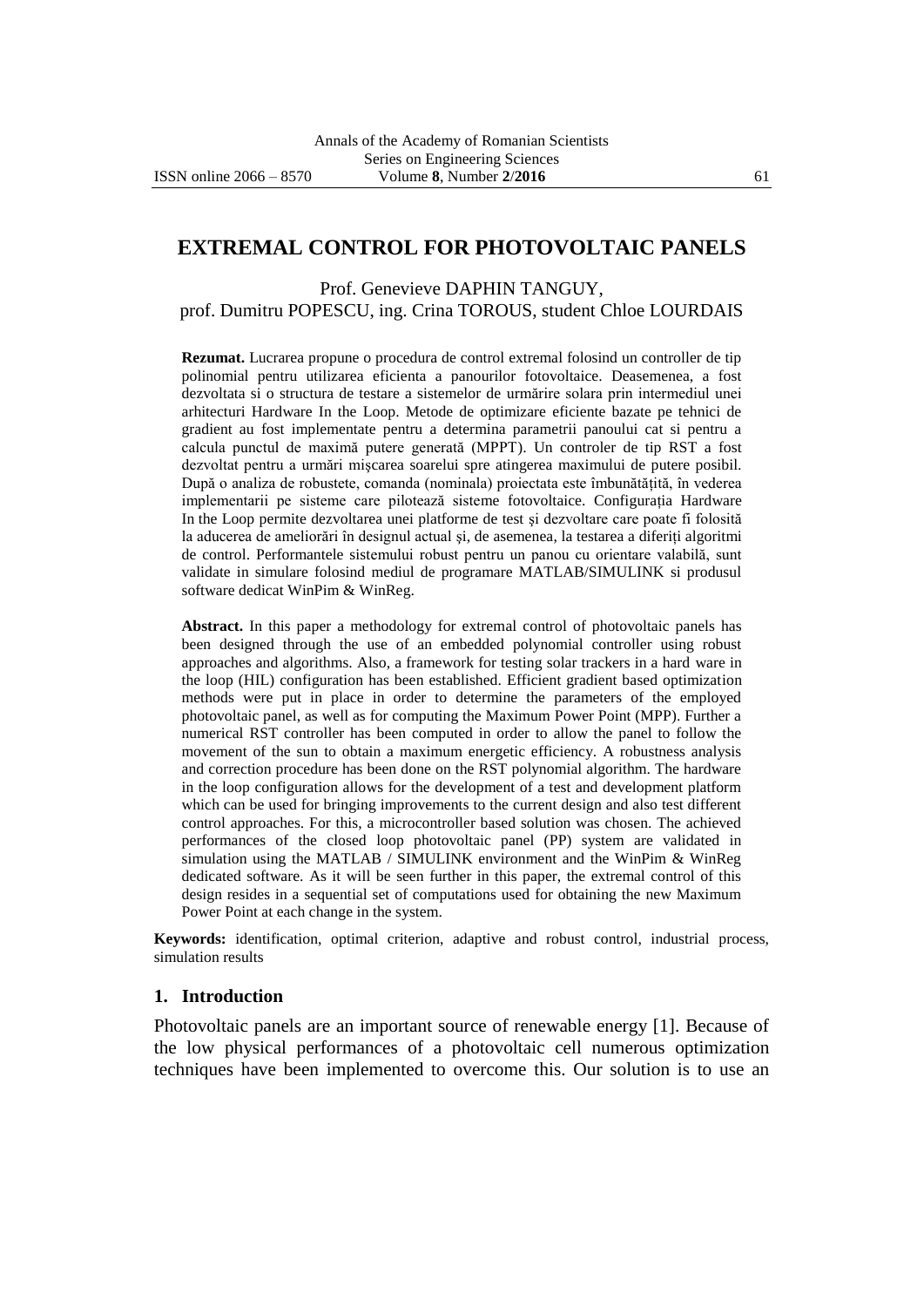# **EXTREMAL CONTROL FOR PHOTOVOLTAIC PANELS**

Prof. Genevieve DAPHIN TANGUY, prof. Dumitru POPESCU, ing. Crina TOROUS, student Chloe LOURDAIS

**Rezumat.** Lucrarea propune o procedura de control extremal folosind un controller de tip polinomial pentru utilizarea eficienta a panourilor fotovoltaice. Deasemenea, a fost dezvoltata si o structura de testare a sistemelor de urmărire solara prin intermediul unei arhitecturi Hardware In the Loop. Metode de optimizare eficiente bazate pe tehnici de gradient au fost implementate pentru a determina parametrii panoului cat si pentru a calcula punctul de maximă putere generată (MPPT). Un controler de tip RST a fost dezvoltat pentru a urmări mişcarea soarelui spre atingerea maximului de putere posibil. După o analiza de robustete, comanda (nominala) proiectata este îmbunătăţită, în vederea implementarii pe sisteme care pilotează sisteme fotovoltaice. Configuraţia Hardware In the Loop permite dezvoltarea unei platforme de test şi dezvoltare care poate fi folosită la aducerea de ameliorări în designul actual și, de asemenea, la testarea a diferiti algoritmi de control. Performantele sistemului robust pentru un panou cu orientare valabilă, sunt validate in simulare folosind mediul de programare MATLAB/SIMULINK si produsul software dedicat WinPim & WinReg.

**Abstract.** In this paper a methodology for extremal control of photovoltaic panels has been designed through the use of an embedded polynomial controller using robust approaches and algorithms. Also, a framework for testing solar trackers in a hard ware in the loop (HIL) configuration has been established. Efficient gradient based optimization methods were put in place in order to determine the parameters of the employed photovoltaic panel, as well as for computing the Maximum Power Point (MPP). Further a numerical RST controller has been computed in order to allow the panel to follow the movement of the sun to obtain a maximum energetic efficiency. A robustness analysis and correction procedure has been done on the RST polynomial algorithm. The hardware in the loop configuration allows for the development of a test and development platform which can be used for bringing improvements to the current design and also test different control approaches. For this, a microcontroller based solution was chosen. The achieved performances of the closed loop photovoltaic panel (PP) system are validated in simulation using the MATLAB / SIMULINK environment and the WinPim & WinReg dedicated software. As it will be seen further in this paper, the extremal control of this design resides in a sequential set of computations used for obtaining the new Maximum Power Point at each change in the system.

**Keywords:** identification, optimal criterion, adaptive and robust control, industrial process, simulation results

#### **1. Introduction**

Photovoltaic panels are an important source of renewable energy [1]. Because of the low physical performances of a photovoltaic cell numerous optimization techniques have been implemented to overcome this. Our solution is to use an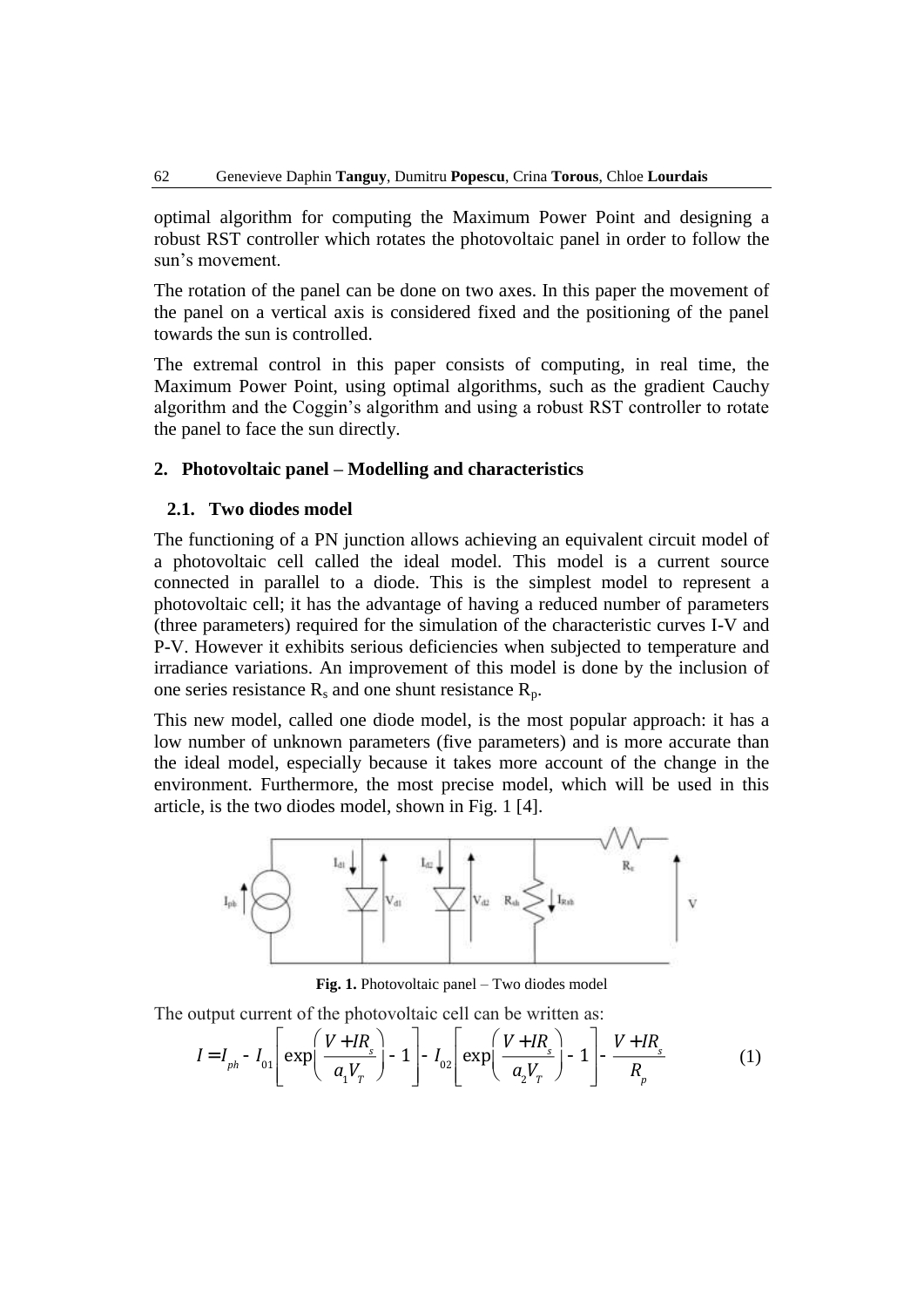optimal algorithm for computing the Maximum Power Point and designing a robust RST controller which rotates the photovoltaic panel in order to follow the sun's movement.

The rotation of the panel can be done on two axes. In this paper the movement of the panel on a vertical axis is considered fixed and the positioning of the panel towards the sun is controlled.

The extremal control in this paper consists of computing, in real time, the Maximum Power Point, using optimal algorithms, such as the gradient Cauchy algorithm and the Coggin's algorithm and using a robust RST controller to rotate the panel to face the sun directly.

#### **2. Photovoltaic panel – Modelling and characteristics**

#### **2.1. Two diodes model**

The functioning of a PN junction allows achieving an equivalent circuit model of a photovoltaic cell called the ideal model. This model is a current source connected in parallel to a diode. This is the simplest model to represent a photovoltaic cell; it has the advantage of having a reduced number of parameters (three parameters) required for the simulation of the characteristic curves I-V and P-V. However it exhibits serious deficiencies when subjected to temperature and irradiance variations. An improvement of this model is done by the inclusion of one series resistance  $R_s$  and one shunt resistance  $R_p$ .

This new model, called one diode model, is the most popular approach: it has a low number of unknown parameters (five parameters) and is more accurate than the ideal model, especially because it takes more account of the change in the environment. Furthermore, the most precise model, which will be used in this article, is the two diodes model, shown in Fig. 1 [4].



**Fig. 1.** Photovoltaic panel – Two diodes model

The output current of the photovoltaic cell can be written as:

$$
I = I_{ph} - I_{01} \left[ \exp\left(\frac{V + IR_s}{a_1 V_r}\right) - 1 \right] - I_{02} \left[ \exp\left(\frac{V + IR_s}{a_2 V_r}\right) - 1 \right] - \frac{V + IR_s}{R_p} \tag{1}
$$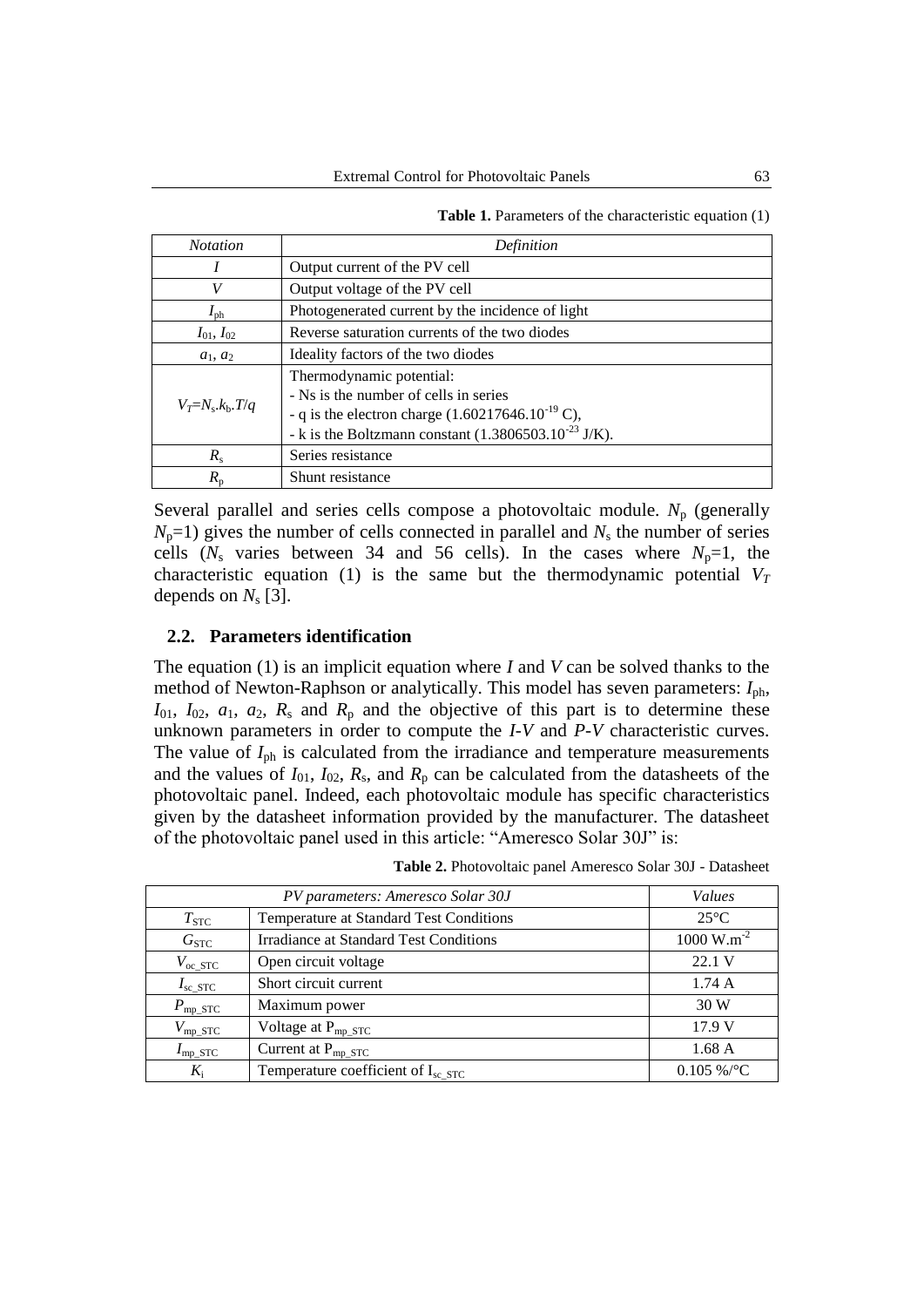| <b>Table 1.</b> Parameters of the characteristic equation (1) |  |  |  |  |
|---------------------------------------------------------------|--|--|--|--|
|---------------------------------------------------------------|--|--|--|--|

| <b>Notation</b>             | Definition                                                                                                                                                                                      |  |  |  |
|-----------------------------|-------------------------------------------------------------------------------------------------------------------------------------------------------------------------------------------------|--|--|--|
|                             | Output current of the PV cell                                                                                                                                                                   |  |  |  |
| V                           | Output voltage of the PV cell                                                                                                                                                                   |  |  |  |
| $I_{\text{ph}}$             | Photogenerated current by the incidence of light                                                                                                                                                |  |  |  |
| $I_{01}$ , $I_{02}$         | Reverse saturation currents of the two diodes                                                                                                                                                   |  |  |  |
| $a_1, a_2$                  | Ideality factors of the two diodes                                                                                                                                                              |  |  |  |
| $V_T = N_s \cdot k_b$ . T/q | Thermodynamic potential:<br>- Ns is the number of cells in series<br>- q is the electron charge $(1.60217646.10^{-19} \text{ C})$ ,<br>- k is the Boltzmann constant $(1.3806503.10^{23}$ J/K). |  |  |  |
| $R_{\rm s}$                 | Series resistance                                                                                                                                                                               |  |  |  |
| $R_{n}$                     | Shunt resistance                                                                                                                                                                                |  |  |  |

Several parallel and series cells compose a photovoltaic module. N<sub>p</sub> (generally  $N_p=1$ ) gives the number of cells connected in parallel and  $N_s$  the number of series cells ( $N_s$  varies between 34 and 56 cells). In the cases where  $N_p=1$ , the characteristic equation (1) is the same but the thermodynamic potential  $V_T$ depends on  $N_s$  [3].

### **2.2. Parameters identification**

The equation (1) is an implicit equation where *I* and *V* can be solved thanks to the method of Newton-Raphson or analytically. This model has seven parameters: *I*ph,  $I_{01}$ ,  $I_{02}$ ,  $a_1$ ,  $a_2$ ,  $R_s$  and  $R_p$  and the objective of this part is to determine these unknown parameters in order to compute the *I*-*V* and *P*-*V* characteristic curves. The value of  $I_{ph}$  is calculated from the irradiance and temperature measurements and the values of  $I_{01}$ ,  $I_{02}$ ,  $R_s$ , and  $R_p$  can be calculated from the datasheets of the photovoltaic panel. Indeed, each photovoltaic module has specific characteristics given by the datasheet information provided by the manufacturer. The datasheet of the photovoltaic panel used in this article: "Ameresco Solar 30J" is:

| Table 2. Photovoltaic panel Ameresco Solar 30J - Datasheet |  |
|------------------------------------------------------------|--|
|------------------------------------------------------------|--|

|                      | Values                                        |                         |
|----------------------|-----------------------------------------------|-------------------------|
| $T_{\mathrm{STC}}$   | Temperature at Standard Test Conditions       | $25^{\circ}$ C          |
| G <sub>STC</sub>     | <b>Irradiance at Standard Test Conditions</b> | $1000 \text{ W.m}^{-2}$ |
| $V_{oc\_STC}$        | Open circuit voltage                          | 22.1 V                  |
| $I_{\rm sc\_STC}$    | Short circuit current                         | 1.74A                   |
| $P_{\rm mp\_STC}$    | Maximum power                                 | 30 W                    |
| $V_{\text{mp\_STC}}$ | Voltage at $P_{mp\,STC}$                      | 17.9 V                  |
| $I_{\text{mp\_STC}}$ | Current at $P_{mp\_STC}$                      | 1.68A                   |
| $K_i$                | Temperature coefficient of $I_{sc\_STC}$      | $0.105\%$ /°C           |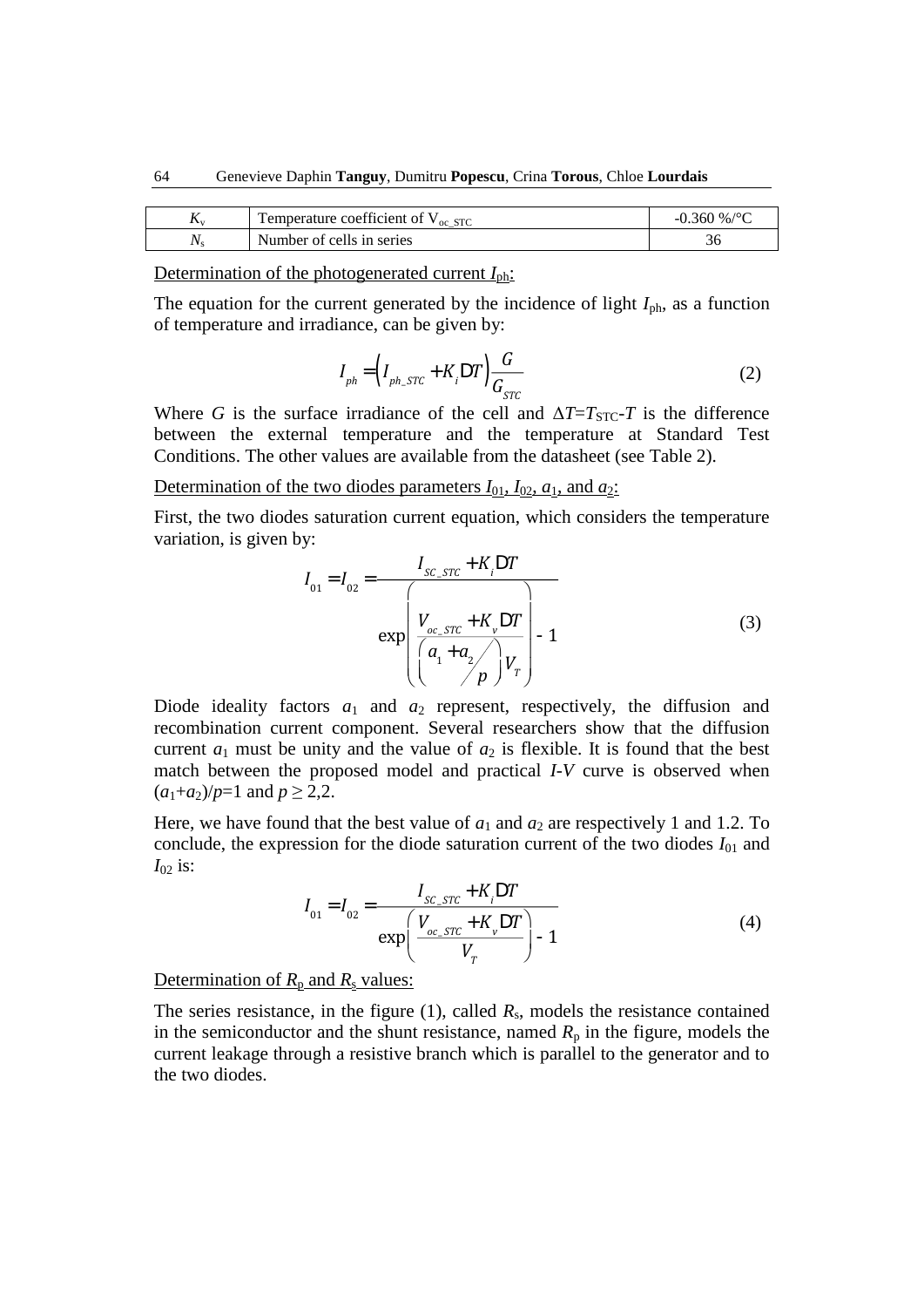| $\mathbf{I} \mathbf{V}$ | 1 emperature coefficient of $V_{oc\_STC}$ | $-0.360\%$ /°C |
|-------------------------|-------------------------------------------|----------------|
|                         | Number of cells in series                 | υc             |

Determination of the photogenerated current *I*ph:

The equation for the current generated by the incidence of light  $I_{ph}$ , as a function of temperature and irradiance, can be given by:

$$
I_{ph} = \left(I_{ph\_STC} + K_i \mathcal{D}T\right) \frac{G}{G_{STC}}
$$
\n
$$
\vdots \qquad \vdots \qquad \qquad (2)
$$

Where *G* is the surface irradiance of the cell and  $\Delta T = T_{STC} - T$  is the difference between the external temperature and the temperature at Standard Test Conditions. The other values are available from the datasheet (see Table 2).

Determination of the two diodes parameters  $I_{01}$ ,  $I_{02}$ ,  $a_1$ , and  $a_2$ :

First, the two diodes saturation current equation, which considers the temperature variation, is given by:

$$
I_{01} = I_{02} = \frac{I_{SC\_STC} + K_i DT}{\exp\left(\frac{V_{oc\_STC} + K_v DT}{\left(\frac{a_1 + a_2}{p}\right)V_r}\right)} - 1
$$
 (3)

Diode ideality factors  $a_1$  and  $a_2$  represent, respectively, the diffusion and recombination current component. Several researchers show that the diffusion current  $a_1$  must be unity and the value of  $a_2$  is flexible. It is found that the best match between the proposed model and practical *I*-*V* curve is observed when  $(a_1+a_2)/p=1$  and  $p \ge 2,2$ .

Here, we have found that the best value of  $a_1$  and  $a_2$  are respectively 1 and 1.2. To conclude, the expression for the diode saturation current of the two diodes  $I_{01}$  and  $I_{02}$  is:

$$
I_{01} = I_{02} = \frac{I_{SC\_STC} + K_{i}DT}{\exp\left(\frac{V_{oc\_STC} + K_{v}DT}{V_{T}}\right) - 1}
$$
(4)

Determination of  $R_p$  and  $R_s$  values:

The series resistance, in the figure  $(1)$ , called  $R_s$ , models the resistance contained in the semiconductor and the shunt resistance, named  $R_p$  in the figure, models the current leakage through a resistive branch which is parallel to the generator and to the two diodes.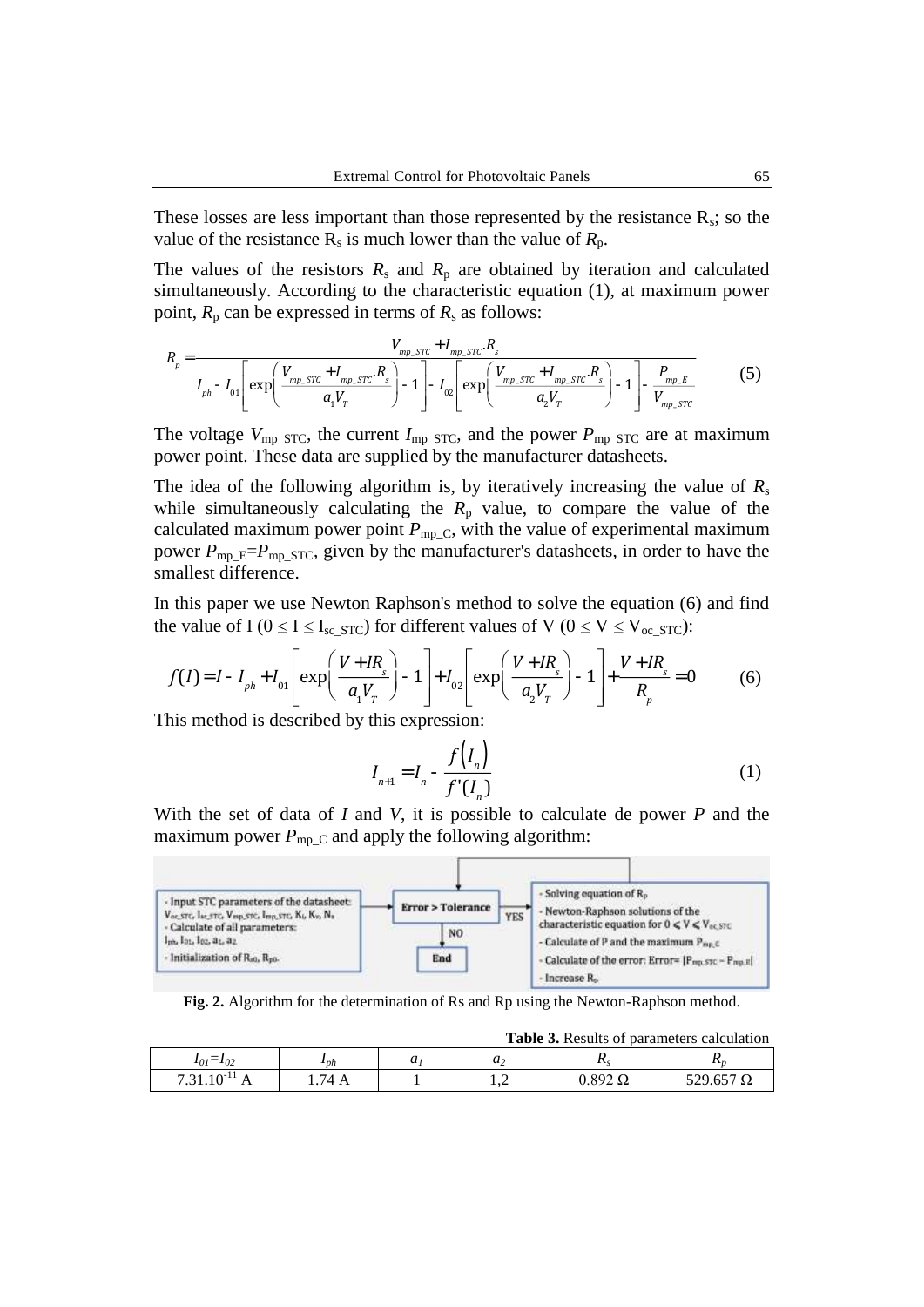These losses are less important than those represented by the resistance  $R_s$ ; so the value of the resistance  $R_s$  is much lower than the value of  $R_p$ .

The values of the resistors  $R_s$  and  $R_p$  are obtained by iteration and calculated simultaneously. According to the characteristic equation (1), at maximum power point,  $R_p$  can be expressed in terms of  $R_s$  as follows:

$$
R_{p} = \frac{V_{mp\_src} + I_{mp\_src} R_{s}}{I_{ph} - I_{01} \left[ \exp\left(\frac{V_{mp\_src} + I_{mp\_src} R_{s}}{a_{1} V_{T}}\right) - 1 \right] - I_{02} \left[ \exp\left(\frac{V_{mp\_src} + I_{mp\_src} R_{s}}{a_{2} V_{T}}\right) - 1 \right] - \frac{P_{mp\_F}}{V_{mp\_src}}}
$$
(5)

The voltage  $V_{\text{mp\_STC}}$ , the current  $I_{\text{mp\_STC}}$ , and the power  $P_{\text{mp\_STC}}$  are at maximum power point. These data are supplied by the manufacturer datasheets.

The idea of the following algorithm is, by iteratively increasing the value of  $R_s$ while simultaneously calculating the  $R_p$  value, to compare the value of the calculated maximum power point  $P_{mp,C}$ , with the value of experimental maximum power  $P_{mp\_E}=P_{mp\_STC}$ , given by the manufacturer's datasheets, in order to have the smallest difference.

In this paper we use Newton Raphson's method to solve the equation (6) and find the value of I ( $0 \le I \le I_{\rm sc}$  s<sub>TC</sub>) for different values of V ( $0 \le V \le V_{\rm oc}$  s<sub>TC</sub>):

$$
f(I) = I - I_{ph} + I_{01} \left[ exp\left(\frac{V + IR_s}{a_1 V_r}\right) - 1\right] + I_{02} \left[ exp\left(\frac{V + IR_s}{a_2 V_r}\right) - 1\right] + \frac{V + IR_s}{R_p} = 0 \tag{6}
$$

This method is described by this expression:

$$
I_{n+1} = I_n - \frac{f(I_n)}{f'(I_n)}
$$
 (1)

**Table 3.** Results of parameters calculation

With the set of data of *I* and *V*, it is possible to calculate de power *P* and the maximum power  $P_{mp,C}$  and apply the following algorithm:



**Fig. 2.** Algorithm for the determination of Rs and Rp using the Newton-Raphson method.

| <b>Table 5.</b> Kesults of parameters calculation |                   |  |       |                  |       |  |
|---------------------------------------------------|-------------------|--|-------|------------------|-------|--|
| $ -$<br>$I_{01} = I_{02}$                         | $\mathbf{I}_{ph}$ |  | $\mu$ |                  | 1 L n |  |
| $.31.10^{-1}$<br>7.21                             | 74 A              |  | ⊥.∠   | $0.892$ $\Omega$ |       |  |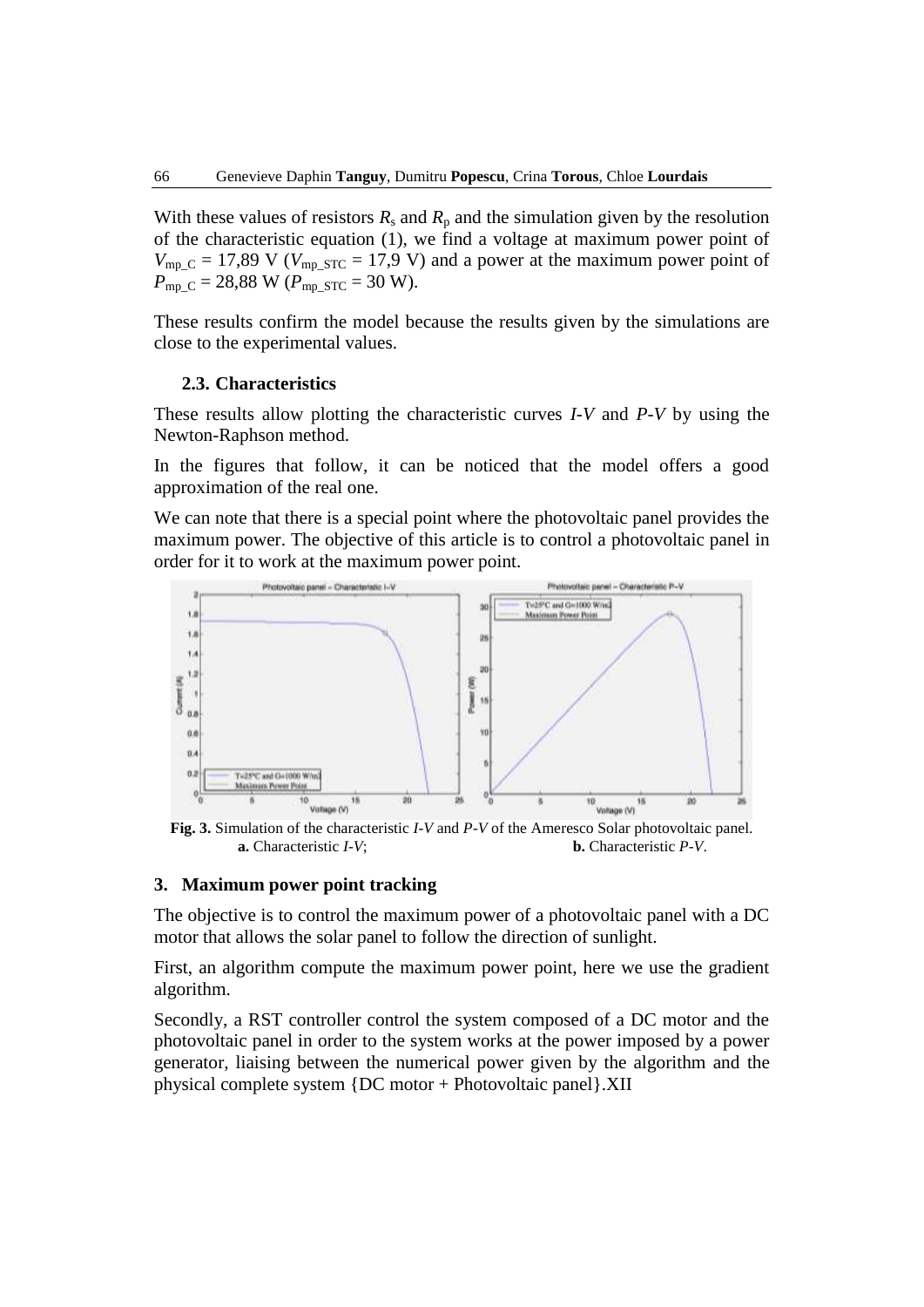With these values of resistors  $R_s$  and  $R_p$  and the simulation given by the resolution of the characteristic equation (1), we find a voltage at maximum power point of  $V_{\text{mp\_C}} = 17,89$  V ( $V_{\text{mp\_STC}} = 17,9$  V) and a power at the maximum power point of  $P_{\text{mp C}} = 28,88 \text{ W}$  ( $P_{\text{mp STC}} = 30 \text{ W}$ ).

These results confirm the model because the results given by the simulations are close to the experimental values.

#### **2.3. Characteristics**

These results allow plotting the characteristic curves *I*-*V* and *P*-*V* by using the Newton-Raphson method.

In the figures that follow, it can be noticed that the model offers a good approximation of the real one.

We can note that there is a special point where the photovoltaic panel provides the maximum power. The objective of this article is to control a photovoltaic panel in order for it to work at the maximum power point.



**Fig. 3.** Simulation of the characteristic *I*-*V* and *P*-*V* of the Ameresco Solar photovoltaic panel. **a.** Characteristic *I*-*V*; **b.** Characteristic *P*-*V*.

#### **3. Maximum power point tracking**

The objective is to control the maximum power of a photovoltaic panel with a DC motor that allows the solar panel to follow the direction of sunlight.

First, an algorithm compute the maximum power point, here we use the gradient algorithm.

Secondly, a RST controller control the system composed of a DC motor and the photovoltaic panel in order to the system works at the power imposed by a power generator, liaising between the numerical power given by the algorithm and the physical complete system {DC motor + Photovoltaic panel}.XII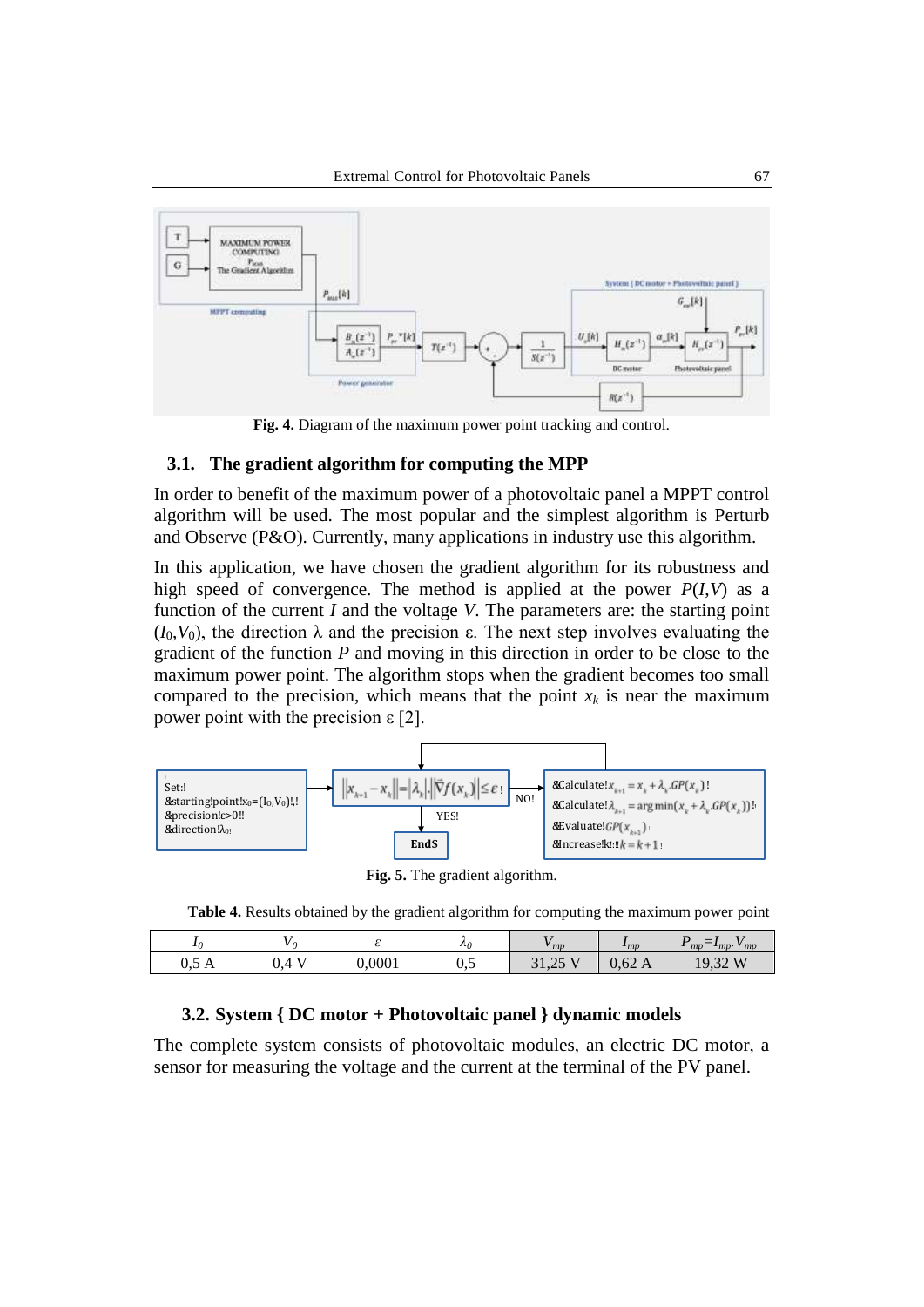

**Fig. 4.** Diagram of the maximum power point tracking and control.

### **3.1. The gradient algorithm for computing the MPP**

In order to benefit of the maximum power of a photovoltaic panel a MPPT control algorithm will be used. The most popular and the simplest algorithm is Perturb and Observe (P&O). Currently, many applications in industry use this algorithm.

In this application, we have chosen the gradient algorithm for its robustness and high speed of convergence. The method is applied at the power  $P(I, V)$  as a function of the current *I* and the voltage *V*. The parameters are: the starting point  $(I_0, V_0)$ , the direction  $\lambda$  and the precision  $\varepsilon$ . The next step involves evaluating the gradient of the function *P* and moving in this direction in order to be close to the maximum power point. The algorithm stops when the gradient becomes too small compared to the precision, which means that the point  $x_k$  is near the maximum power point with the precision  $ε$  [2].



**Fig. 5.** The gradient algorithm.

**Table 4.** Results obtained by the gradient algorithm for computing the maximum power point

|             |                 |        | $\lambda_0$ | m                  | $\mu_{MD}$       | $-$<br>mp<br>$v_{mp}$<br>$\cdot$ mp. |
|-------------|-----------------|--------|-------------|--------------------|------------------|--------------------------------------|
| -<br>0, J H | $\Delta$<br>◡、┭ | 0,0001 | -<br>∪∙∼    | 25<br>21<br>J1, LJ | $0,62 \text{ A}$ | W<br>J<br>17,34                      |

### **3.2. System { DC motor + Photovoltaic panel } dynamic models**

The complete system consists of photovoltaic modules, an electric DC motor, a sensor for measuring the voltage and the current at the terminal of the PV panel.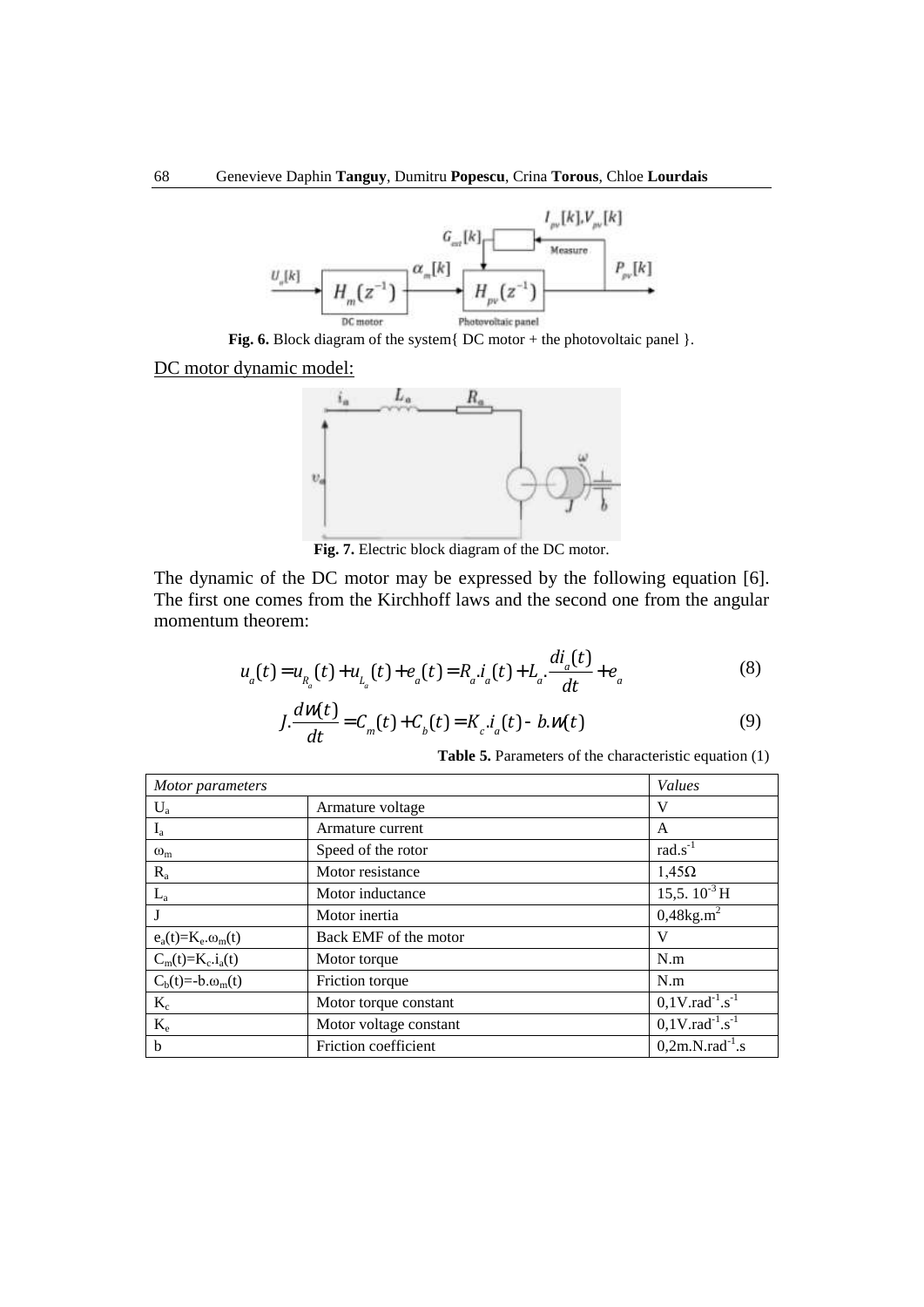

DC motor dynamic model:



**Fig. 7.** Electric block diagram of the DC motor.

The dynamic of the DC motor may be expressed by the following equation [6]. The first one comes from the Kirchhoff laws and the second one from the angular momentum theorem:

$$
u_a(t) = u_{R_a}(t) + u_{L_a}(t) + e_a(t) = R_a \dot{u}_a(t) + L_a \frac{di_a(t)}{dt} + e_a
$$
 (8)

$$
J \cdot \frac{d\mathcal{W}(t)}{dt} = C_m(t) + C_b(t) = K_c \cdot i_a(t) - b \cdot \mathcal{W}(t)
$$
\n(9)

**Table 5.** Parameters of the characteristic equation (1)

| Motor parameters                |                        | Values                                     |
|---------------------------------|------------------------|--------------------------------------------|
| $U_a$                           | Armature voltage       | V                                          |
| $I_{a}$                         | Armature current       | A                                          |
| $\omega_{\rm m}$                | Speed of the rotor     | $rad.s^{-1}$                               |
| $R_{a}$                         | Motor resistance       | $1,45\Omega$                               |
| $L_a$                           | Motor inductance       | 15,5.10 <sup>-3</sup> H                    |
| J                               | Motor inertia          | $0,48$ kg.m <sup>2</sup>                   |
| $e_a(t)=K_e.\omega_m(t)$        | Back EMF of the motor  | v                                          |
| $C_m(t)=K_c.i_a(t)$             | Motor torque           | N.m                                        |
| $C_b(t) = -b \cdot \omega_m(t)$ | Friction torque        | N.m                                        |
| $K_c$                           | Motor torque constant  | $0,1V$ .rad <sup>-1</sup> .s <sup>-1</sup> |
| $K_{\rm e}$                     | Motor voltage constant | $0,1V$ .rad <sup>-1</sup> .s <sup>-1</sup> |
| $\mathbf b$                     | Friction coefficient   | $0,2m.N.rad^{-1}.s$                        |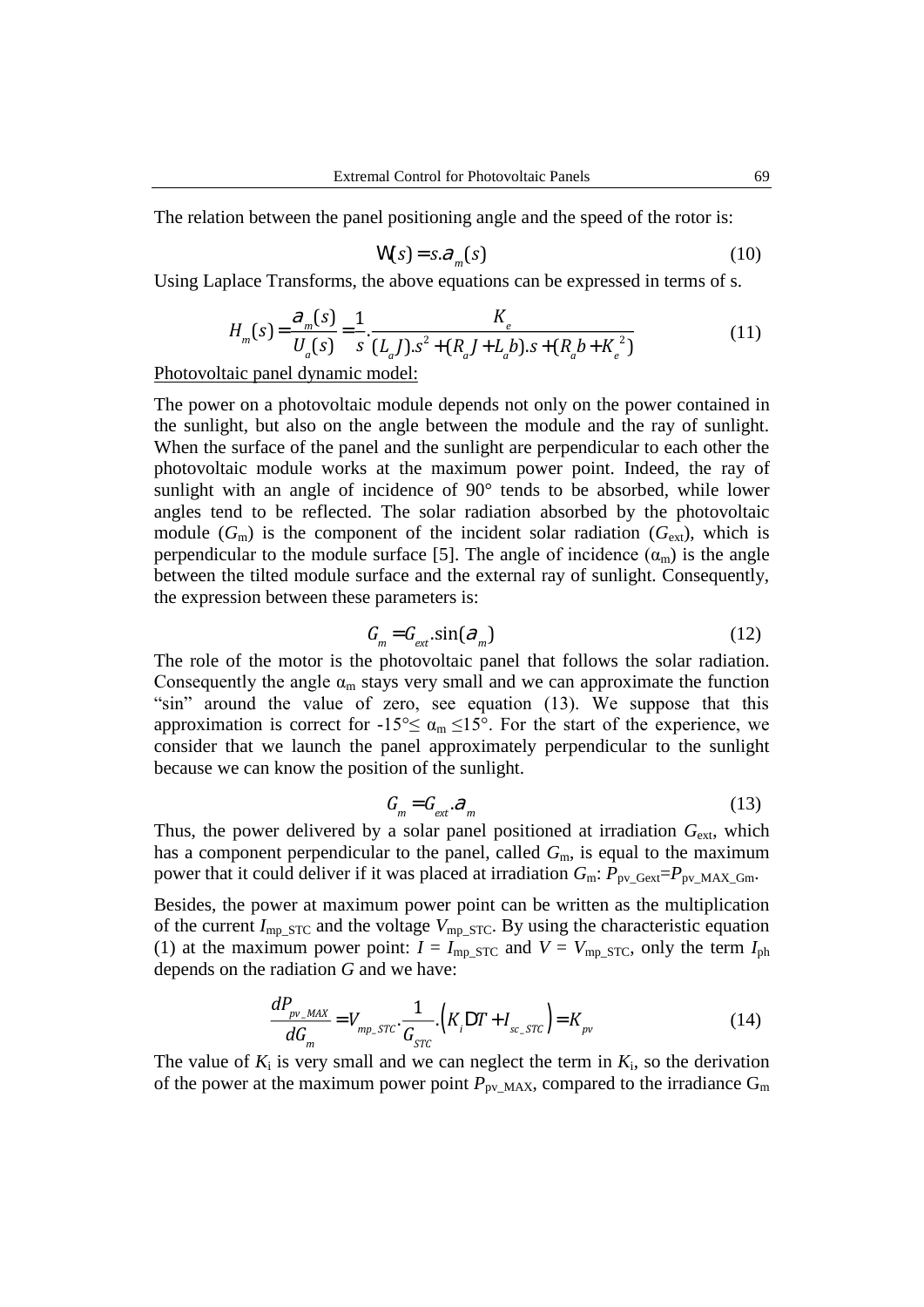The relation between the panel positioning angle and the speed of the rotor is:

$$
W(s) = s \cdot \partial_m(s) \tag{10}
$$

Using Laplace Transforms, the above equations can be expressed in terms of s.

$$
H_m(s) = \frac{\partial_m(s)}{U_a(s)} = \frac{1}{s} \cdot \frac{K_e}{(L_a J) \cdot s^2 + (R_a J + L_a b) \cdot s + (R_a b + K_e^2)}
$$
(11)

Photovoltaic panel dynamic model:

The power on a photovoltaic module depends not only on the power contained in the sunlight, but also on the angle between the module and the ray of sunlight. When the surface of the panel and the sunlight are perpendicular to each other the photovoltaic module works at the maximum power point. Indeed, the ray of sunlight with an angle of incidence of 90° tends to be absorbed, while lower angles tend to be reflected. The solar radiation absorbed by the photovoltaic module  $(G<sub>m</sub>)$  is the component of the incident solar radiation  $(G<sub>ext</sub>)$ , which is perpendicular to the module surface [5]. The angle of incidence  $(\alpha_m)$  is the angle between the tilted module surface and the external ray of sunlight. Consequently, the expression between these parameters is:

$$
G_m = G_{\text{ext}} \sin(\theta_m) \tag{12}
$$

The role of the motor is the photovoltaic panel that follows the solar radiation. Consequently the angle  $\alpha_m$  stays very small and we can approximate the function "sin" around the value of zero, see equation (13). We suppose that this approximation is correct for  $-15^{\circ} \le \alpha_m \le 15^{\circ}$ . For the start of the experience, we consider that we launch the panel approximately perpendicular to the sunlight because we can know the position of the sunlight.

$$
G_m = G_{ext} \cdot \partial_m \tag{13}
$$

Thus, the power delivered by a solar panel positioned at irradiation  $G_{ext}$ , which has a component perpendicular to the panel, called  $G<sub>m</sub>$ , is equal to the maximum power that it could deliver if it was placed at irradiation  $G_m$ :  $P_{pv\_Gext}=P_{pv\_MAX\_Gm}$ .

Besides, the power at maximum power point can be written as the multiplication of the current  $I_{mp\_STC}$  and the voltage  $V_{mp\_STC}$ . By using the characteristic equation (1) at the maximum power point:  $I = I_{mp\ STC}$  and  $V = V_{mp\ STC}$ , only the term  $I_{ph}$ depends on the radiation *G* and we have:

$$
\frac{dP_{pv\_MAX}}{dG_m} = V_{mp\_STC} \cdot \frac{1}{G_{STC}} \cdot \left( K_i DT + I_{sc\_STC} \right) = K_{pv}
$$
\n(14)

The value of  $K_i$  is very small and we can neglect the term in  $K_i$ , so the derivation of the power at the maximum power point  $P_{pv\_MAX}$ , compared to the irradiance  $G_m$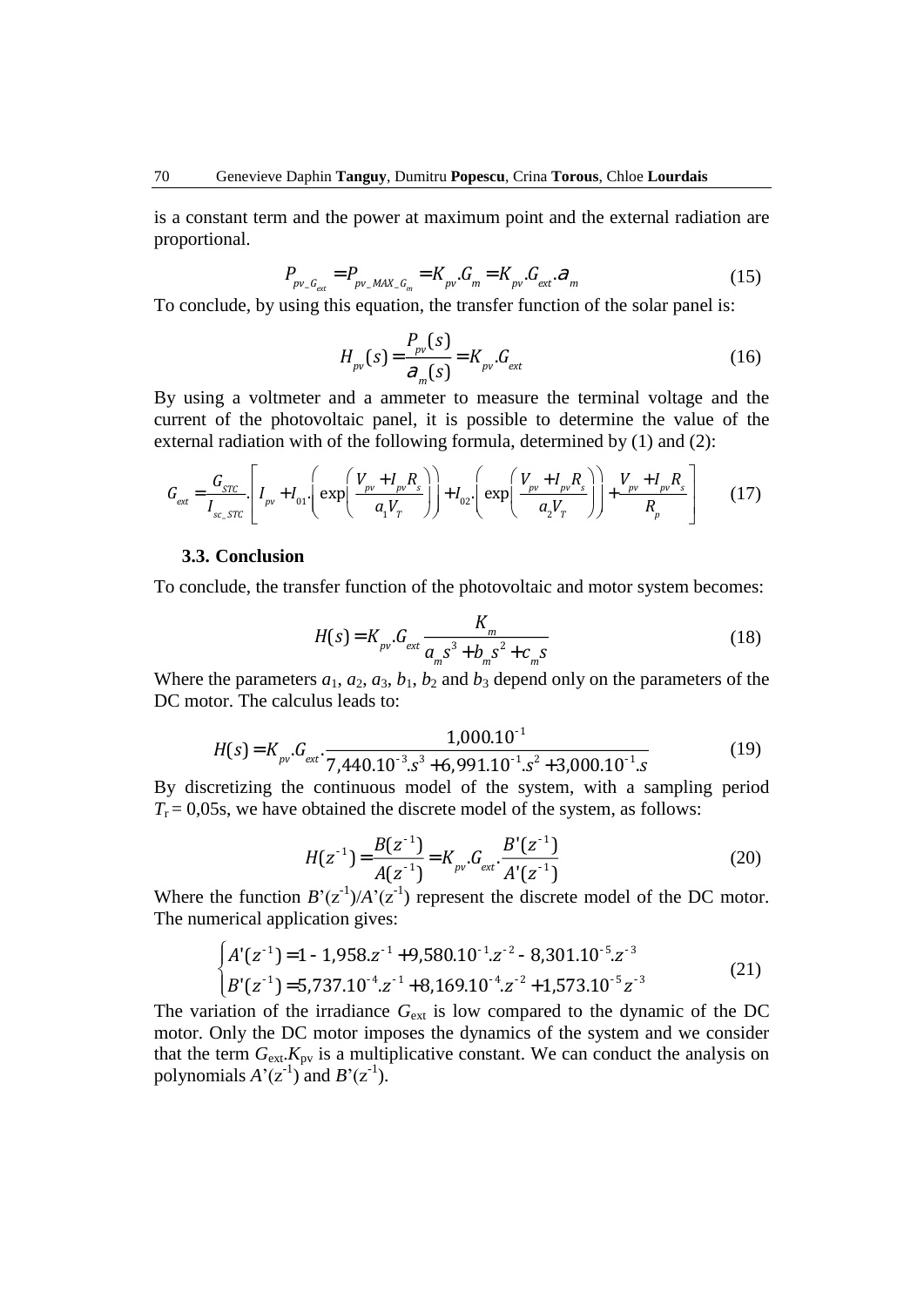is a constant term and the power at maximum point and the external radiation are proportional.

$$
P_{p\nu_{-}G_{ext}} = P_{p\nu_{-}MAX_{-}G_{m}} = K_{p\nu} \cdot G_{m} = K_{p\nu} \cdot G_{ext} \cdot \mathcal{F}_{m}
$$
(15)

To conclude, by using this equation, the transfer function of the solar panel is:

$$
H_{pv}(s) = \frac{P_{pv}(s)}{\partial_m(s)} = K_{pv} \cdot G_{ext}
$$
 (16)

By using a voltmeter and a ammeter to measure the terminal voltage and the current of the photovoltaic panel, it is possible to determine the value of the external radiation with of the following formula, determined by (1) and (2):

$$
G_{ext} = \frac{G_{src}}{I_{sc\_src}} \left[ I_{pv} + I_{01} \left( \exp\left(\frac{V_{pv} + I_{pv} R_s}{a_1 V_T} \right) \right) + I_{02} \left( \exp\left(\frac{V_{pv} + I_{pv} R_s}{a_2 V_T} \right) \right) + \frac{V_{pv} + I_{pv} R_s}{R_p} \right] \tag{17}
$$

#### **3.3. Conclusion**

To conclude, the transfer function of the photovoltaic and motor system becomes:

$$
H(s) = K_{pv} \cdot G_{ext} \frac{K_m}{a_m s^3 + b_m s^2 + c_m s}
$$
 (18)

Where the parameters  $a_1$ ,  $a_2$ ,  $a_3$ ,  $b_1$ ,  $b_2$  and  $b_3$  depend only on the parameters of the DC motor. The calculus leads to:

$$
H(s) = K_{\text{pv}}. G_{\text{ext}}. \frac{1,000.10^{-1}}{7,440.10^{-3}.s^3 + 6,991.10^{-1}.s^2 + 3,000.10^{-1}.s}
$$
(19)

By discretizing the continuous model of the system, with a sampling period  $T<sub>r</sub> = 0.05$ s, we have obtained the discrete model of the system, as follows:

$$
H(z^{-1}) = \frac{B(z^{-1})}{A(z^{-1})} = K_{\text{pv}} \cdot G_{\text{ext}} \cdot \frac{B'(z^{-1})}{A'(z^{-1})}
$$
(20)

 $A(Z)$  *A* (*Z* )<br>Where the function  $B'(Z^{-1})/A'(Z^{-1})$  represent the discrete model of the DC motor. The numerical application gives:

$$
\begin{cases}\nA'(z^{-1}) = 1 - 1,958z^{-1} + 9,580.10^{-1}.z^{-2} - 8,301.10^{-5}.z^{-3} \\
B'(z^{-1}) = 5,737.10^{-4}.z^{-1} + 8,169.10^{-4}.z^{-2} + 1,573.10^{-5}z^{-3}\n\end{cases}
$$
\n(21)

The variation of the irradiance  $G_{ext}$  is low compared to the dynamic of the DC motor. Only the DC motor imposes the dynamics of the system and we consider that the term  $G_{ext}$ . $K_{pv}$  is a multiplicative constant. We can conduct the analysis on polynomials  $A'(z^{-1})$  and  $B'(z^{-1})$ .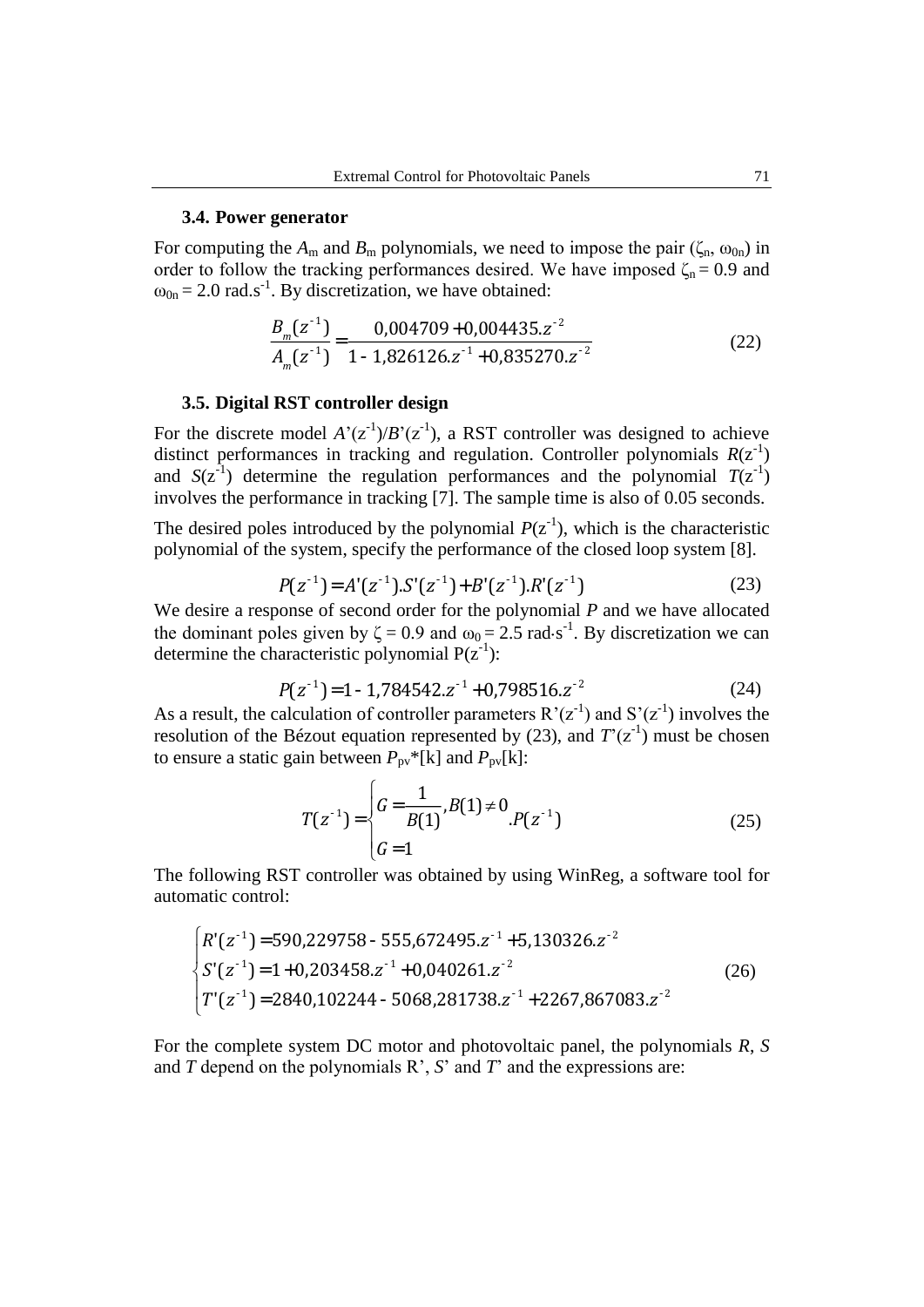#### **3.4. Power generator**

For computing the  $A_m$  and  $B_m$  polynomials, we need to impose the pair ( $\zeta_n$ ,  $\omega_{0n}$ ) in order to follow the tracking performances desired. We have imposed  $\zeta_n = 0.9$  and  $\omega_{0n} = 2.0$  rad.s<sup>-1</sup>. By discretization, we have obtained:

$$
\frac{B_m(z^{-1})}{A_m(z^{-1})} = \frac{0,004709 + 0,004435.z^{-2}}{1 - 1,826126.z^{-1} + 0,835270.z^{-2}}
$$
(22)

### **3.5. Digital RST controller design**

For the discrete model  $A'(z^{-1})/B'(z^{-1})$ , a RST controller was designed to achieve distinct performances in tracking and regulation. Controller polynomials  $R(z^{-1})$ and  $S(z^{-1})$  determine the regulation performances and the polynomial  $T(z^{-1})$ involves the performance in tracking [7]. The sample time is also of 0.05 seconds.

The desired poles introduced by the polynomial  $P(z^{-1})$ , which is the characteristic polynomial of the system, specify the performance of the closed loop system [8].

$$
P(z^{-1}) = A'(z^{-1}).S'(z^{-1}) + B'(z^{-1}).R'(z^{-1})
$$
\n(23)

We desire a response of second order for the polynomial *P* and we have allocated the dominant poles given by  $\zeta = 0.9$  and  $\omega_0 = 2.5$  rad $\cdot$ s<sup>-1</sup>. By discretization we can determine the characteristic polynomial  $P(z^{-1})$ :

$$
P(z^{-1}) = 1 - 1.784542 \cdot z^{-1} + 0.798516 \cdot z^{-2}
$$
 (24)

As a result, the calculation of controller parameters  $R'(z^{-1})$  and  $S'(z^{-1})$  involves the resolution of the Bézout equation represented by  $(23)$ , and  $T'(\mathbf{z}^{-1})$  must be chosen to ensure a static gain between  $P_{pv}$ <sup>\*</sup>[k] and  $P_{pv}$ [k]:

$$
T(z^{-1}) = \begin{cases} G = \frac{1}{B(1)}, B(1) \neq 0, \\ G = 1 \end{cases} P(z^{-1})
$$
 (25)

The following RST controller was obtained by using WinReg, a software tool for automatic control:

$$
\begin{cases}\nR'(z^{-1}) = 590,229758 - 555,672495 \cdot z^{-1} + 5,130326 \cdot z^{-2} \\
S'(z^{-1}) = 1 + 0,203458 \cdot z^{-1} + 0,040261 \cdot z^{-2} \\
T'(z^{-1}) = 2840,102244 - 5068,281738 \cdot z^{-1} + 2267,867083 \cdot z^{-2}\n\end{cases}
$$
\n(26)

For the complete system DC motor and photovoltaic panel, the polynomials *R*, *S* and *T* depend on the polynomials R', *S*' and *T*' and the expressions are: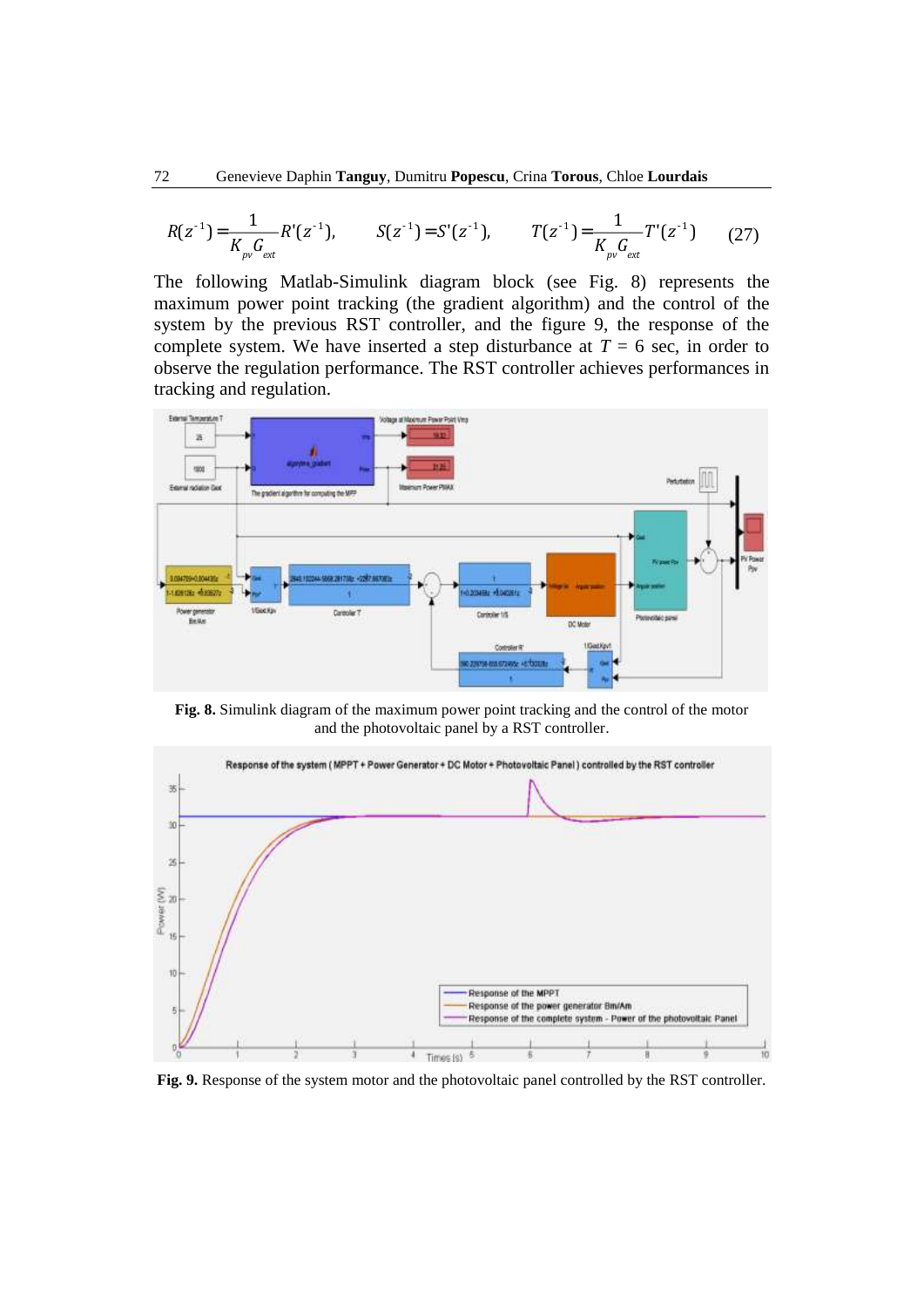$$
R(z^{-1}) = \frac{1}{K_{pv}G_{ext}}R'(z^{-1}), \qquad S(z^{-1}) = S'(z^{-1}), \qquad T(z^{-1}) = \frac{1}{K_{pv}G_{ext}}T'(z^{-1}) \qquad (27)
$$

The following Matlab-Simulink diagram block (see Fig. 8) represents the maximum power point tracking (the gradient algorithm) and the control of the system by the previous RST controller, and the figure 9, the response of the complete system. We have inserted a step disturbance at  $T = 6$  sec, in order to observe the regulation performance. The RST controller achieves performances in tracking and regulation.



**Fig. 8.** Simulink diagram of the maximum power point tracking and the control of the motor and the photovoltaic panel by a RST controller.



**Fig. 9.** Response of the system motor and the photovoltaic panel controlled by the RST controller.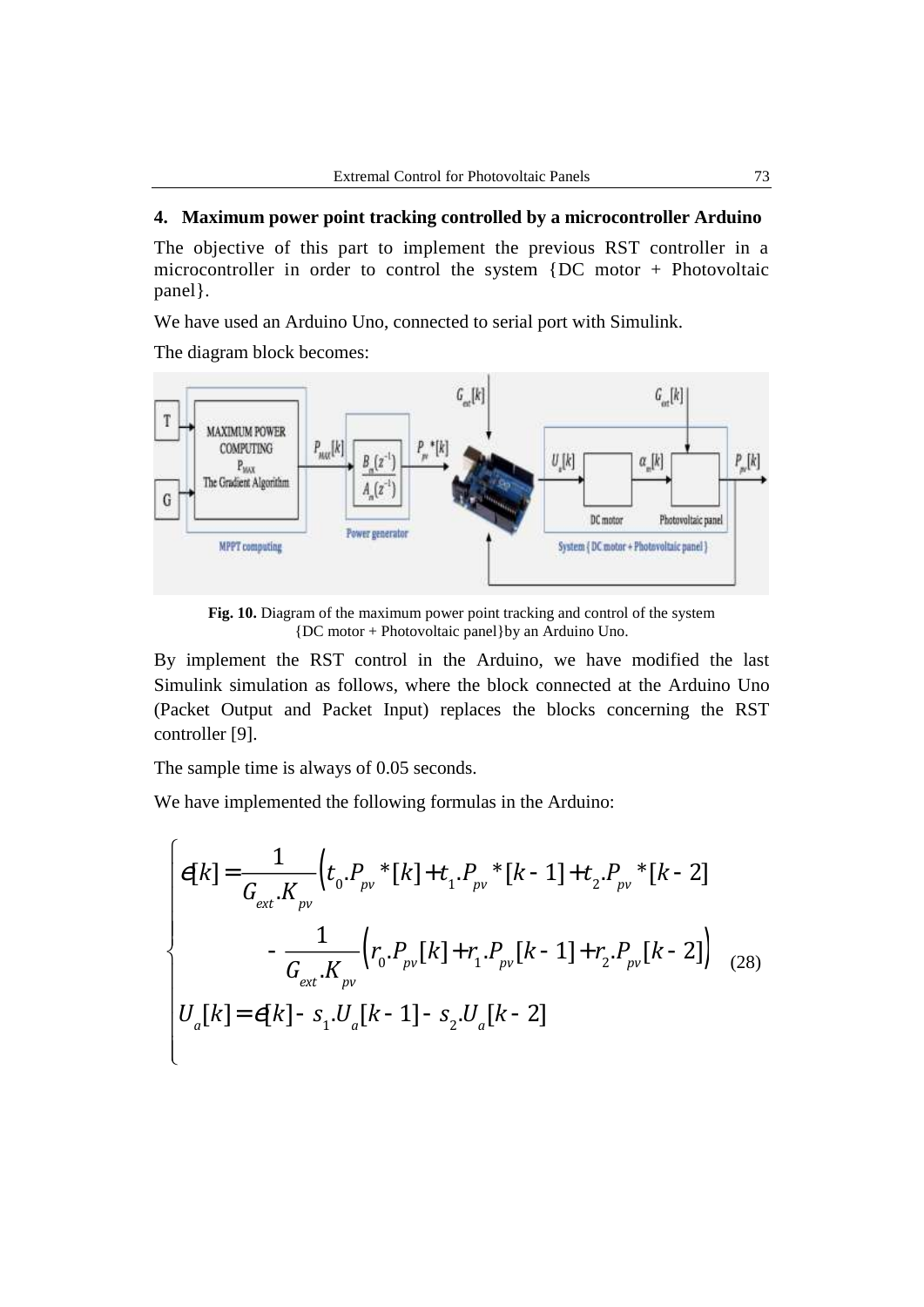# **4. Maximum power point tracking controlled by a microcontroller Arduino**

The objective of this part to implement the previous RST controller in a microcontroller in order to control the system {DC motor + Photovoltaic panel}.

We have used an Arduino Uno, connected to serial port with Simulink.

The diagram block becomes:



**Fig. 10.** Diagram of the maximum power point tracking and control of the system {DC motor + Photovoltaic panel}by an Arduino Uno.

By implement the RST control in the Arduino, we have modified the last Simulink simulation as follows, where the block connected at the Arduino Uno (Packet Output and Packet Input) replaces the blocks concerning the RST controller [9].

The sample time is always of 0.05 seconds.

We have implemented the following formulas in the Arduino:

$$
e[k] = \frac{1}{G_{ext}.K_{pv}} \Big( t_0.P_{pv} * [k] + t_1.P_{pv} * [k-1] + t_2.P_{pv} * [k-2] - \frac{1}{G_{ext}.K_{pv}} \Big( r_0.P_{pv} [k] + r_1.P_{pv} [k-1] + r_2.P_{pv} [k-2] \Big) - \frac{1}{G_{ext}.K_{pv}} \Big( r_0.P_{pv} [k] + r_1.P_{pv} [k-1] + r_2.P_{pv} [k-2] \Big) \Big) \tag{28}
$$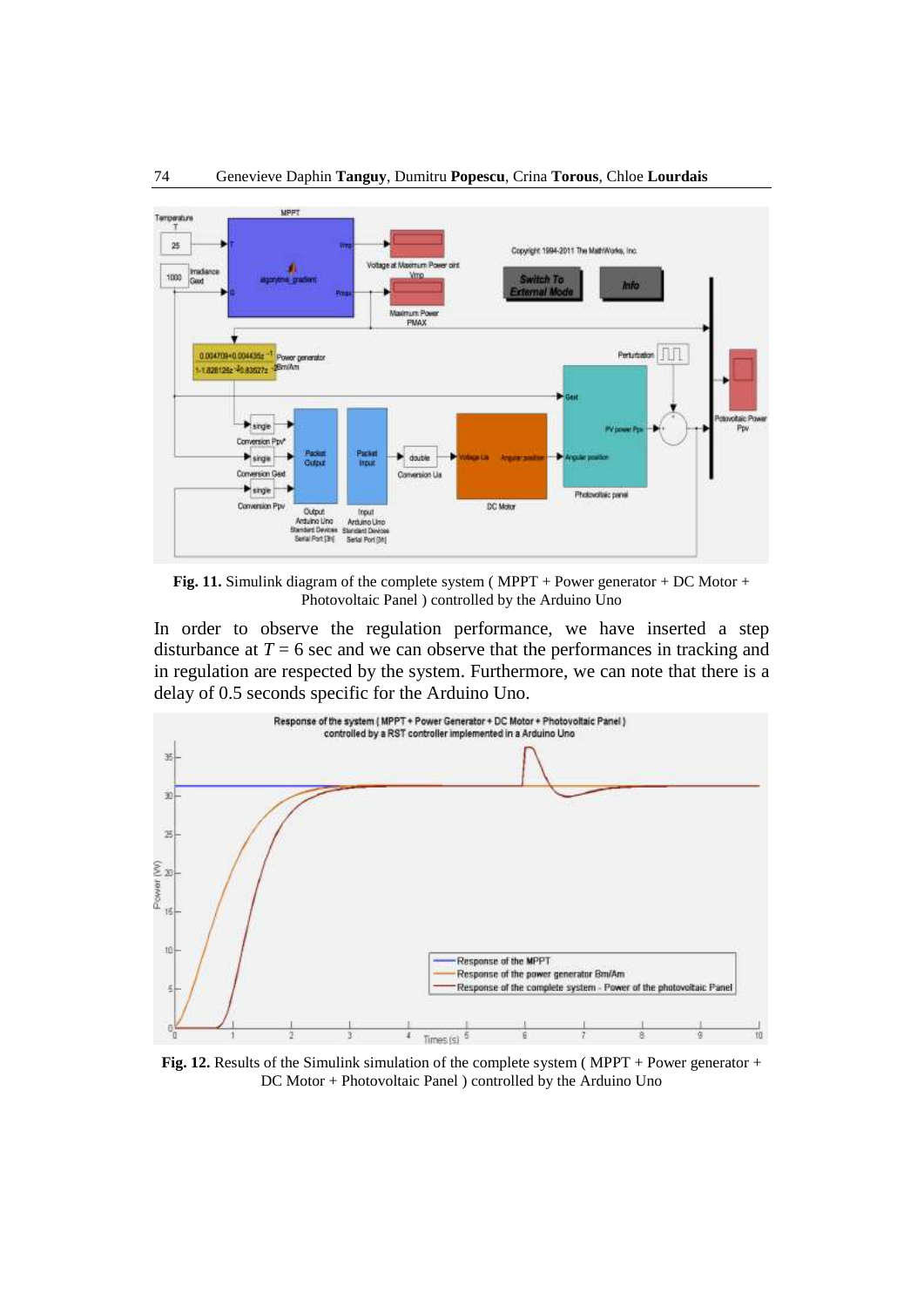

Fig. 11. Simulink diagram of the complete system (MPPT + Power generator + DC Motor + Photovoltaic Panel ) controlled by the Arduino Uno

In order to observe the regulation performance, we have inserted a step disturbance at  $T = 6$  sec and we can observe that the performances in tracking and in regulation are respected by the system. Furthermore, we can note that there is a delay of 0.5 seconds specific for the Arduino Uno.



**Fig. 12.** Results of the Simulink simulation of the complete system (MPPT + Power generator + DC Motor + Photovoltaic Panel ) controlled by the Arduino Uno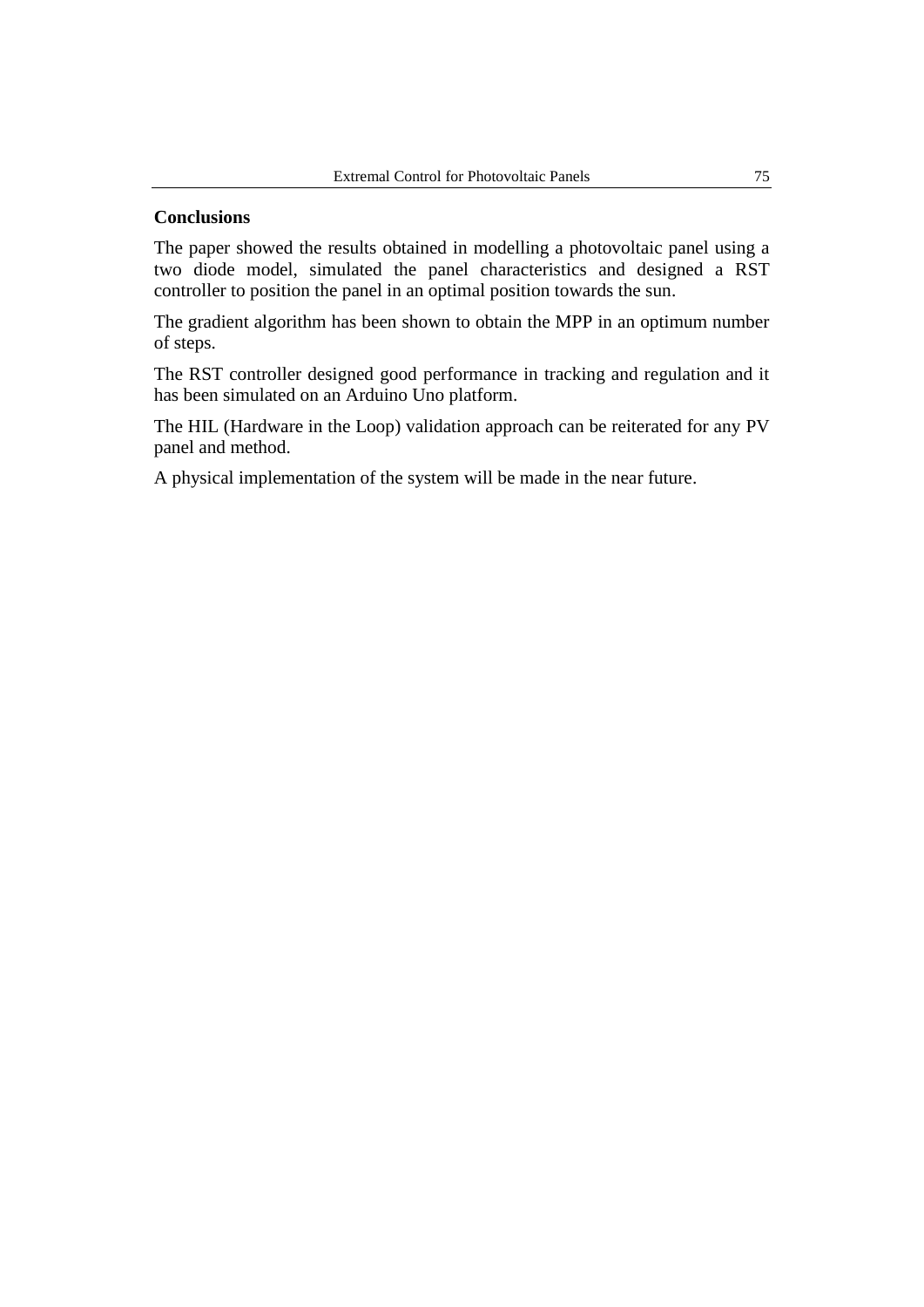### **Conclusions**

The paper showed the results obtained in modelling a photovoltaic panel using a two diode model, simulated the panel characteristics and designed a RST controller to position the panel in an optimal position towards the sun.

The gradient algorithm has been shown to obtain the MPP in an optimum number of steps.

The RST controller designed good performance in tracking and regulation and it has been simulated on an Arduino Uno platform.

The HIL (Hardware in the Loop) validation approach can be reiterated for any PV panel and method.

A physical implementation of the system will be made in the near future.